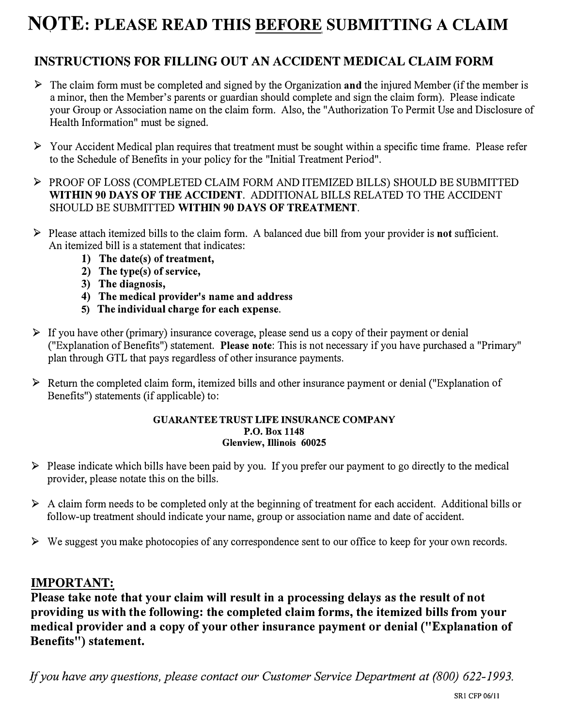# **NOTE: PLEASE READ THIS BEFORE SUBMITTING A CLAIM**

## **INSTRUCTIONS FOR FILLING OUT AN ACCIDENT MEDICAL CLAIM FORM**

- ► The claim form must be completed and signed by the Organization **and** the injured Member (if the member is a minor, then the Member's parents or guardian should complete and sign the claim form). Please indicate your Group or Association name on the claim form. Also, the "Authorization To Permit Use and Disclosure of Health Information" must be signed.
- ► Your Accident Medical plan requires that treatment must be sought within a specific time frame. Please refer to the Schedule of Benefits in your policy for the "Initial Treatment Period".
- ► PROOF OF LOSS (COMPLETED CLAIM FORM AND ITEMIZED BILLS) SHOULD BE SUBMITTED **WITHIN 90 DAYS OF THE ACCIDENT.** ADDITIONAL BILLS RELATED TO THE ACCIDENT SHOULD BE SUBMITTED **WITHIN 90 DAYS OF TREATMENT.**
- ► Please attach itemized bills to the claim form. A balanced due bill from your provider is **not** sufficient. An itemized bill is a statement that indicates:
	- **1) The date(s) of treatment,**
	- **2) The type(s) of service,**
	- **3) The diagnosis,**
	- **4) The medical provider's name and address**
	- **5) The individual charge for each expense.**
- ► If you have other (primary) insurance coverage, please send us a copy of their payment or denial ("Explanation of Benefits") statement. **Please note:** This is not necessary if you have purchased a "Primary" plan through GTL that pays regardless of other insurance payments.
- ► Return the completed claim form, itemized bills and other insurance payment or denial (''Explanation of Benefits") statements (if applicable) to:

### **GUARANTEE TRUST LIFE INSURANCE COMPANY P.O. Box 1148 Glenview, Illinois 60025**

- ► Please indicate which bills have been paid by you. If you prefer our payment to go directly to the medical provider, please notate this on the bills.
- ► A claim form needs to be completed only at the beginning of treatment for each accident. Additional bills or follow-up treatment should indicate your name, group or association name and date of accident.
- ► We suggest you make photocopies of any correspondence sent to our office to keep for your own records.

### **IMPORTANT:**

**Please take note that your claim will result in a processing delays as the result of not providing us with the following: the completed claim forms, the itemized bills from your medical provider and a copy of your other insurance payment or denial ("Explanation of Benefits") statement.** 

*If you have any questions, please contact our Customer Service Department at (800) 622-1993.*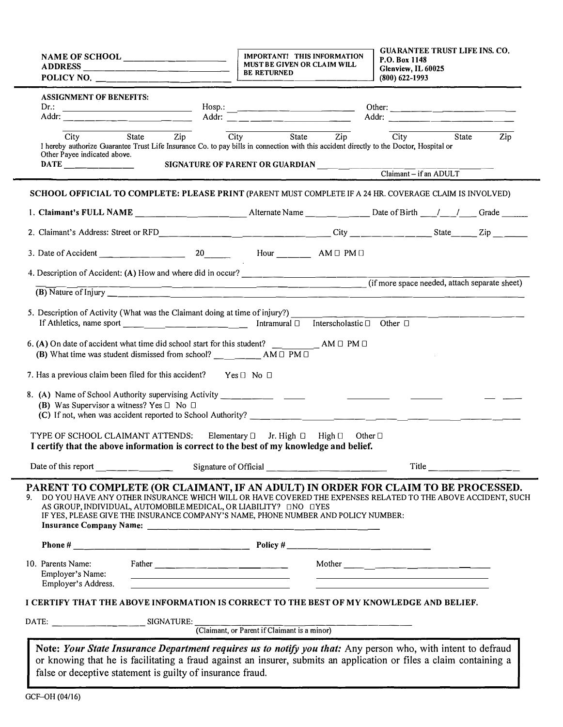| NAME OF SCHOOL ________________                                                         |                                                                                                                                                                              | IMPORTANT! THIS INFORMATION<br>MUST BE GIVEN OR CLAIM WILL<br><b>BE RETURNED</b><br><u> Tanzania (h. 1878).</u>                                                                                                                     | <b>GUARANTEE TRUST LIFE INS. CO.</b><br>P.O. Box 1148<br>Glenview, IL 60025<br>$(800)$ 622-1993 |                                                                            |                         |                  |
|-----------------------------------------------------------------------------------------|------------------------------------------------------------------------------------------------------------------------------------------------------------------------------|-------------------------------------------------------------------------------------------------------------------------------------------------------------------------------------------------------------------------------------|-------------------------------------------------------------------------------------------------|----------------------------------------------------------------------------|-------------------------|------------------|
| <b>ASSIGNMENT OF BENEFITS:</b>                                                          |                                                                                                                                                                              |                                                                                                                                                                                                                                     |                                                                                                 | Other: ____________________<br>Addr: _______________________               |                         |                  |
| City<br>Other Payee indicated above.<br>$\text{DATE}$ ___________                       | State Zip City                                                                                                                                                               | State<br>I hereby authorize Guarantee Trust Life Insurance Co. to pay bills in connection with this accident directly to the Doctor, Hospital or<br>SIGNATURE OF PARENT OR GUARDIAN __ _ _                                          |                                                                                                 | $\overline{\text{Zip}}$ $\overline{\text{City}}$<br>Claimant - if an ADULT | State                   | $\overline{Zip}$ |
|                                                                                         |                                                                                                                                                                              |                                                                                                                                                                                                                                     |                                                                                                 |                                                                            |                         |                  |
|                                                                                         |                                                                                                                                                                              | SCHOOL OFFICIAL TO COMPLETE: PLEASE PRINT (PARENT MUST COMPLETE IF A 24 HR. COVERAGE CLAIM IS INVOLVED)                                                                                                                             |                                                                                                 |                                                                            |                         |                  |
|                                                                                         |                                                                                                                                                                              | 1. Claimant's FULL NAME _____________________Alternate Name ____________Date of Birth ____/____/___Grade _____                                                                                                                      |                                                                                                 |                                                                            |                         |                  |
|                                                                                         |                                                                                                                                                                              |                                                                                                                                                                                                                                     |                                                                                                 |                                                                            |                         |                  |
|                                                                                         |                                                                                                                                                                              |                                                                                                                                                                                                                                     |                                                                                                 |                                                                            |                         |                  |
|                                                                                         |                                                                                                                                                                              | 4. Description of Accident: (A) How and where did in occur?<br>$($ if more space needed, attach separate sheet)                                                                                                                     |                                                                                                 |                                                                            |                         |                  |
|                                                                                         |                                                                                                                                                                              |                                                                                                                                                                                                                                     |                                                                                                 |                                                                            |                         |                  |
|                                                                                         |                                                                                                                                                                              |                                                                                                                                                                                                                                     |                                                                                                 |                                                                            |                         |                  |
|                                                                                         |                                                                                                                                                                              |                                                                                                                                                                                                                                     |                                                                                                 |                                                                            |                         |                  |
| 7. Has a previous claim been filed for this accident? Yes $\Box$ No $\Box$              |                                                                                                                                                                              |                                                                                                                                                                                                                                     |                                                                                                 |                                                                            |                         |                  |
| (B) Was Supervisor a witness? Yes $\Box$ No $\Box$                                      |                                                                                                                                                                              |                                                                                                                                                                                                                                     |                                                                                                 |                                                                            |                         |                  |
|                                                                                         |                                                                                                                                                                              | TYPE OF SCHOOL CLAIMANT ATTENDS: Elementary □ Jr. High □ High □ Other □<br>I certify that the above information is correct to the best of my knowledge and belief.                                                                  |                                                                                                 |                                                                            |                         |                  |
| Date of this report                                                                     |                                                                                                                                                                              |                                                                                                                                                                                                                                     |                                                                                                 |                                                                            | Title _________________ |                  |
| PARENT TO COMPLETE (OR CLAIMANT, IF AN ADULT) IN ORDER FOR CLAIM TO BE PROCESSED.       | AS GROUP, INDIVIDUAL, AUTOMOBILE MEDICAL, OR LIABILITY? <b>ENO EYES</b>                                                                                                      | DO YOU HAVE ANY OTHER INSURANCE WHICH WILL OR HAVE COVERED THE EXPENSES RELATED TO THE ABOVE ACCIDENT, SUCH<br>IF YES, PLEASE GIVE THE INSURANCE COMPANY'S NAME, PHONE NUMBER AND POLICY NUMBER:                                    |                                                                                                 |                                                                            |                         |                  |
|                                                                                         |                                                                                                                                                                              |                                                                                                                                                                                                                                     |                                                                                                 |                                                                            |                         |                  |
| 10. Parents Name:<br>Employer's Name:<br>Employer's Address.                            | the contract of the contract of the contract of the contract of the contract of<br>the control of the control of the control of the control of the control of the control of |                                                                                                                                                                                                                                     |                                                                                                 | <u> 1980 - Antonio Alemania, politikar politikar (h. 1980)</u>             |                         |                  |
| I CERTIFY THAT THE ABOVE INFORMATION IS CORRECT TO THE BEST OF MY KNOWLEDGE AND BELIEF. |                                                                                                                                                                              |                                                                                                                                                                                                                                     |                                                                                                 |                                                                            |                         |                  |
|                                                                                         |                                                                                                                                                                              |                                                                                                                                                                                                                                     |                                                                                                 |                                                                            |                         |                  |
|                                                                                         |                                                                                                                                                                              |                                                                                                                                                                                                                                     |                                                                                                 |                                                                            |                         |                  |
|                                                                                         | false or deceptive statement is guilty of insurance fraud.                                                                                                                   | Note: Your State Insurance Department requires us to notify you that: Any person who, with intent to defraud<br>or knowing that he is facilitating a fraud against an insurer, submits an application or files a claim containing a |                                                                                                 |                                                                            |                         |                  |